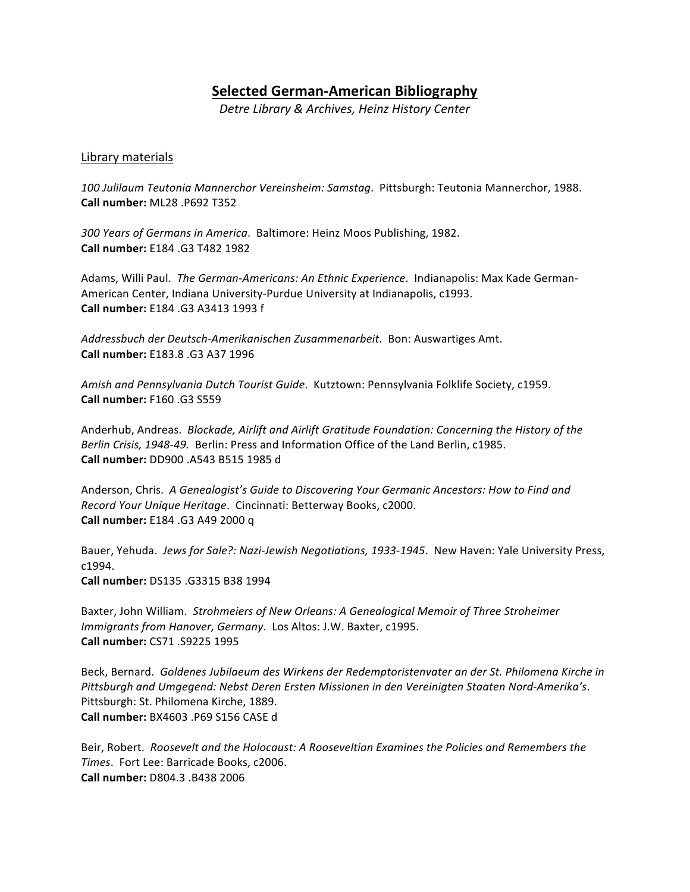# **Selected German-American Bibliography**

*Detre Library & Archives, Heinz History Center*

# Library materials

100 Julilaum Teutonia Mannerchor Vereinsheim: Samstag. Pittsburgh: Teutonia Mannerchor, 1988. **Call number:** ML28 .P692 T352 

300 Years of Germans in America. Baltimore: Heinz Moos Publishing, 1982. **Call number:** E184 .G3 T482 1982

Adams, Willi Paul. The German-Americans: An Ethnic Experience. Indianapolis: Max Kade German-American Center, Indiana University-Purdue University at Indianapolis, c1993. **Call number:** E184 .G3 A3413 1993 f 

*Addressbuch der Deutsch-Amerikanischen Zusammenarbeit*. Bon: Auswartiges Amt. **Call number:** E183.8 .G3 A37 1996

Amish and Pennsylvania Dutch Tourist Guide. Kutztown: Pennsylvania Folklife Society, c1959. **Call number:** F160 .G3 S559

Anderhub, Andreas. Blockade, Airlift and Airlift Gratitude Foundation: Concerning the History of the Berlin Crisis, 1948-49. Berlin: Press and Information Office of the Land Berlin, c1985. **Call number:** DD900 .A543 B515 1985 d

Anderson, Chris. A Genealogist's Guide to Discovering Your Germanic Ancestors: How to Find and *Record Your Unique Heritage. Cincinnati: Betterway Books, c2000.* **Call number:** E184 .G3 A49 2000 q

Bauer, Yehuda. Jews for Sale?: Nazi-Jewish Negotiations, 1933-1945. New Haven: Yale University Press, c1994. **Call number:** DS135 .G3315 B38 1994 

Baxter, John William. Strohmeiers of New Orleans: A Genealogical Memoir of Three Stroheimer *Immigrants from Hanover, Germany.* Los Altos: J.W. Baxter, c1995. **Call number:** CS71 .S9225 1995

Beck, Bernard. Goldenes Jubilaeum des Wirkens der Redemptoristenvater an der St. Philomena Kirche in Pittsburgh and Umgegend: Nebst Deren Ersten Missionen in den Vereinigten Staaten Nord-Amerika's. Pittsburgh: St. Philomena Kirche, 1889. **Call number:** BX4603 .P69 S156 CASE d

Beir, Robert. Roosevelt and the Holocaust: A Rooseveltian *Examines* the Policies and Remembers the Times. Fort Lee: Barricade Books, c2006. **Call number:** D804.3 .B438 2006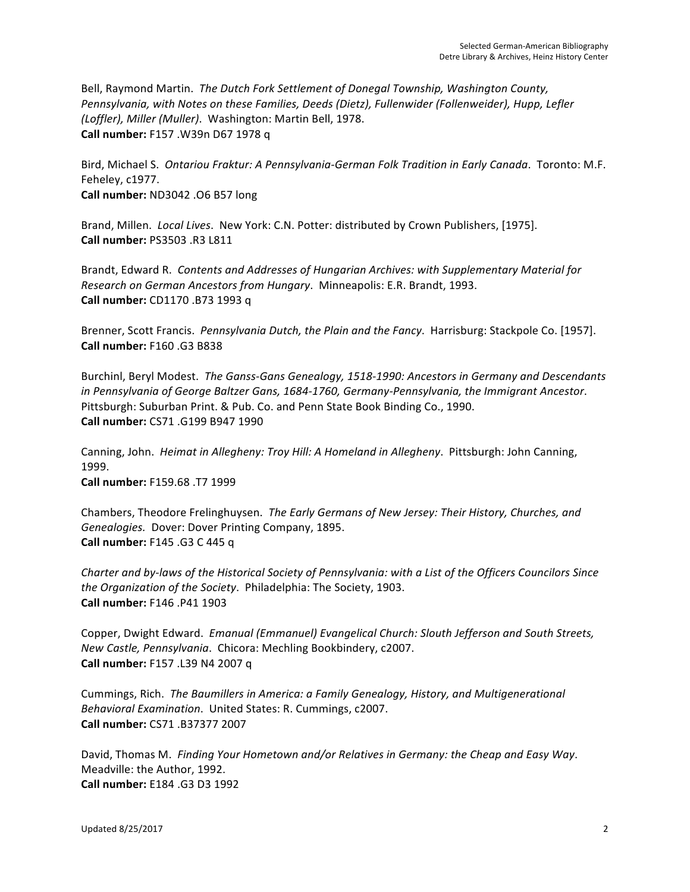Bell, Raymond Martin. The Dutch Fork Settlement of Donegal Township, Washington County, Pennsylvania, with Notes on these Families, Deeds (Dietz), Fullenwider (Follenweider), Hupp, Lefler *(Loffler), Miller (Muller).* Washington: Martin Bell, 1978. **Call number:** F157 .W39n D67 1978 q

Bird, Michael S. Ontariou Fraktur: A Pennsylvania-German Folk Tradition in Early Canada. Toronto: M.F. Feheley, c1977. **Call number:** ND3042 .06 B57 long

Brand, Millen. *Local Lives*. New York: C.N. Potter: distributed by Crown Publishers, [1975]. **Call number:** PS3503 .R3 L811 

Brandt, Edward R. Contents and Addresses of Hungarian Archives: with Supplementary Material for *Research on German Ancestors from Hungary.* Minneapolis: E.R. Brandt, 1993. **Call number:** CD1170 .B73 1993 q 

Brenner, Scott Francis. Pennsylvania Dutch, the Plain and the Fancy. Harrisburg: Stackpole Co. [1957]. **Call number:** F160 .G3 B838 

Burchinl, Beryl Modest. The Ganss-Gans Genealogy, 1518-1990: Ancestors in Germany and Descendants in Pennsylvania of George Baltzer Gans, 1684-1760, Germany-Pennsylvania, the Immigrant Ancestor. Pittsburgh: Suburban Print. & Pub. Co. and Penn State Book Binding Co., 1990. **Call number:** CS71 .G199 B947 1990 

Canning, John. *Heimat in Allegheny: Troy Hill: A Homeland in Allegheny*. Pittsburgh: John Canning, 1999. 

**Call number:** F159.68 .T7 1999 

Chambers, Theodore Frelinghuysen. The Early Germans of New Jersey: Their History, Churches, and Genealogies. Dover: Dover Printing Company, 1895. **Call number:** F145 .G3 C 445 q

*Charter and by-laws of the Historical Society of Pennsylvania: with a List of the Officers Councilors Since the Organization of the Society.* Philadelphia: The Society, 1903. **Call number:** F146 .P41 1903 

Copper, Dwight Edward. *Emanual (Emmanuel) Evangelical Church: Slouth Jefferson and South Streets, New Castle, Pennsylvania.* Chicora: Mechling Bookbindery, c2007. **Call number:** F157 .L39 N4 2007 q

Cummings, Rich. The Baumillers in America: a Family Genealogy, History, and Multigenerational *Behavioral Examination.* United States: R. Cummings, c2007. **Call number:** CS71 .B37377 2007 

David, Thomas M. Finding Your Hometown and/or Relatives in Germany: the Cheap and Easy Way. Meadville: the Author, 1992. **Call number:** E184 .G3 D3 1992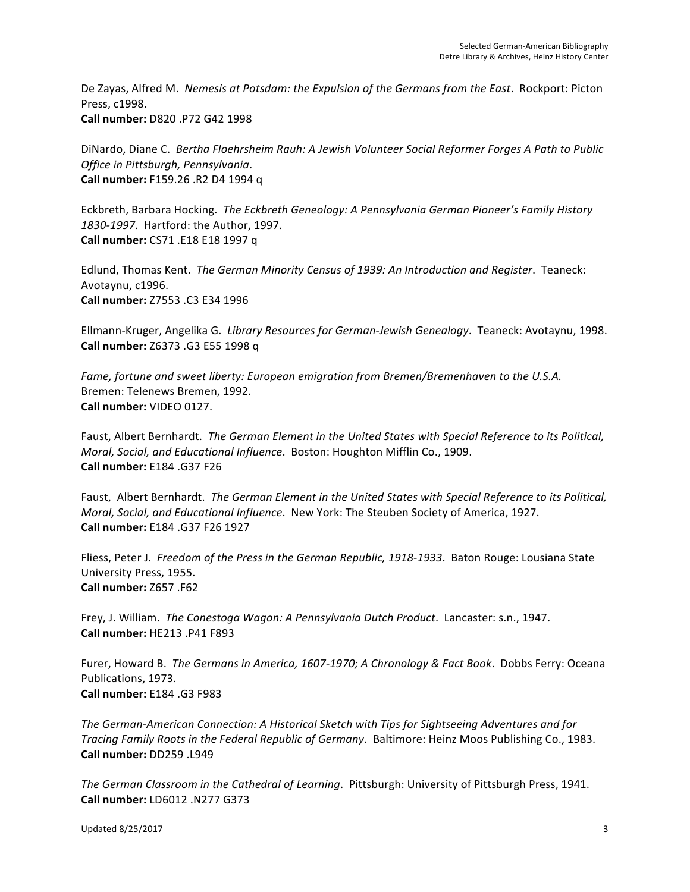De Zayas, Alfred M. Nemesis at Potsdam: the Expulsion of the Germans from the East. Rockport: Picton Press, c1998. **Call number:** D820 .P72 G42 1998 

DiNardo, Diane C. Bertha Floehrsheim Rauh: A Jewish Volunteer Social Reformer Forges A Path to Public *Office in Pittsburgh, Pennsylvania*. **Call number:** F159.26 .R2 D4 1994 q

Eckbreth, Barbara Hocking. The Eckbreth Geneology: A Pennsylvania German Pioneer's Family History 1830-1997. Hartford: the Author, 1997. **Call number:** CS71 .E18 E18 1997 q

Edlund, Thomas Kent. The German Minority Census of 1939: An Introduction and Register. Teaneck: Avotaynu, c1996. **Call number:** Z7553 .C3 E34 1996 

Ellmann-Kruger, Angelika G. *Library Resources for German-Jewish Genealogy*. Teaneck: Avotaynu, 1998. **Call number:** Z6373 .G3 E55 1998 q

Fame, fortune and sweet liberty: European emigration from Bremen/Bremenhaven to the U.S.A. Bremen: Telenews Bremen, 1992. **Call number:** VIDEO 0127. 

Faust, Albert Bernhardt. The German Element in the United States with Special Reference to its Political, *Moral, Social, and Educational Influence.* Boston: Houghton Mifflin Co., 1909. **Call number:** E184 .G37 F26 

Faust, Albert Bernhardt. The German Element in the United States with Special Reference to its Political, *Moral, Social, and Educational Influence.* New York: The Steuben Society of America, 1927. **Call number:** E184 .G37 F26 1927 

Fliess, Peter J. Freedom of the Press in the German Republic, 1918-1933. Baton Rouge: Lousiana State University Press, 1955. **Call number:** Z657 .F62 

Frey, J. William. The Conestoga Wagon: A Pennsylvania Dutch Product. Lancaster: s.n., 1947. **Call number:** HE213 .P41 F893

Furer, Howard B. The Germans in America, 1607-1970; A Chronology & Fact Book. Dobbs Ferry: Oceana Publications, 1973. **Call number:** E184 .G3 F983 

The German-American Connection: A Historical Sketch with Tips for Sightseeing Adventures and for *Tracing Family Roots in the Federal Republic of Germany.* Baltimore: Heinz Moos Publishing Co., 1983. **Call number:** DD259 .L949

The German Classroom in the Cathedral of Learning. Pittsburgh: University of Pittsburgh Press, 1941. **Call number:** LD6012 .N277 G373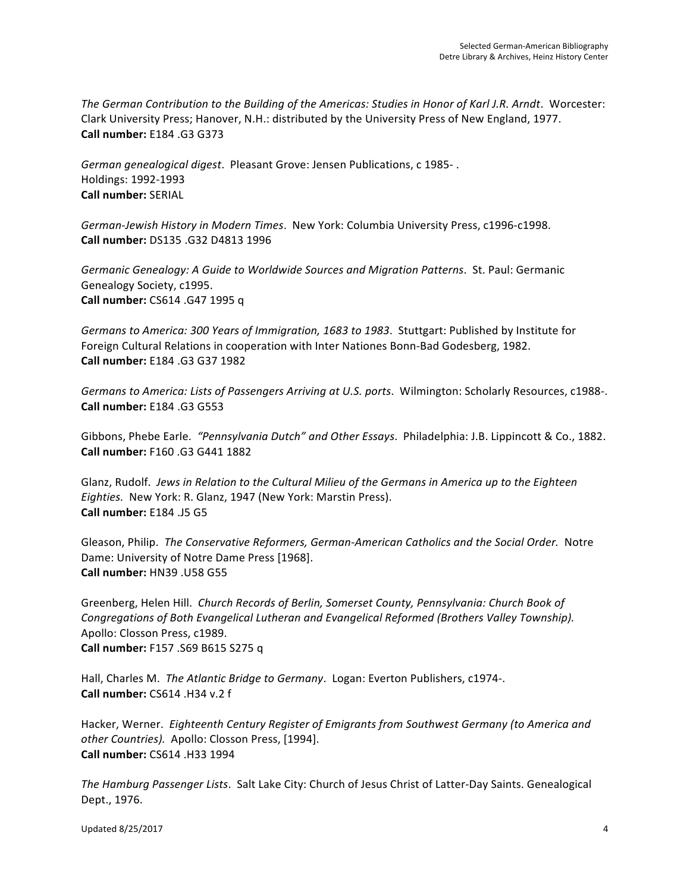The German Contribution to the Building of the Americas: Studies in Honor of Karl J.R. Arndt. Worcester: Clark University Press; Hanover, N.H.: distributed by the University Press of New England, 1977. **Call number:** E184 .G3 G373 

German genealogical digest. Pleasant Grove: Jensen Publications, c 1985-. Holdings: 1992-1993 **Call number:** SERIAL

German-Jewish History in Modern Times. New York: Columbia University Press, c1996-c1998. **Call number:** DS135 .G32 D4813 1996 

Germanic Genealogy: A Guide to Worldwide Sources and Migration Patterns. St. Paul: Germanic Genealogy Society, c1995. **Call number:** CS614 .G47 1995 q 

*Germans to America: 300 Years of Immigration, 1683 to 1983. Stuttgart: Published by Institute for* Foreign Cultural Relations in cooperation with Inter Nationes Bonn-Bad Godesberg, 1982. **Call number:** E184 .G3 G37 1982

Germans to America: Lists of Passengers Arriving at U.S. ports. Wilmington: Scholarly Resources, c1988-. **Call number:** E184 .G3 G553 

Gibbons, Phebe Earle. *"Pennsylvania Dutch"* and Other Essays. Philadelphia: J.B. Lippincott & Co., 1882. **Call number:** F160 .G3 G441 1882 

Glanz, Rudolf. *Jews in Relation to the Cultural Milieu of the Germans in America up to the Eighteen Eighties.* New York: R. Glanz, 1947 (New York: Marstin Press). **Call number:** E184 .J5 G5

Gleason, Philip. The Conservative Reformers, German-American Catholics and the Social Order. Notre Dame: University of Notre Dame Press [1968]. **Call number:** HN39 .U58 G55 

Greenberg, Helen Hill. Church Records of Berlin, Somerset County, Pennsylvania: Church Book of Congregations of Both Evangelical Lutheran and Evangelical Reformed (Brothers Valley Township). Apollo: Closson Press, c1989. **Call number:** F157 .S69 B615 S275 q

Hall, Charles M. The Atlantic Bridge to Germany. Logan: Everton Publishers, c1974-. **Call number:** CS614 .H34 v.2 f

Hacker, Werner. Eighteenth Century Register of Emigrants from Southwest Germany (to America and other Countries). Apollo: Closson Press, [1994]. **Call number:** CS614 .H33 1994 

The Hamburg Passenger Lists. Salt Lake City: Church of Jesus Christ of Latter-Day Saints. Genealogical Dept., 1976.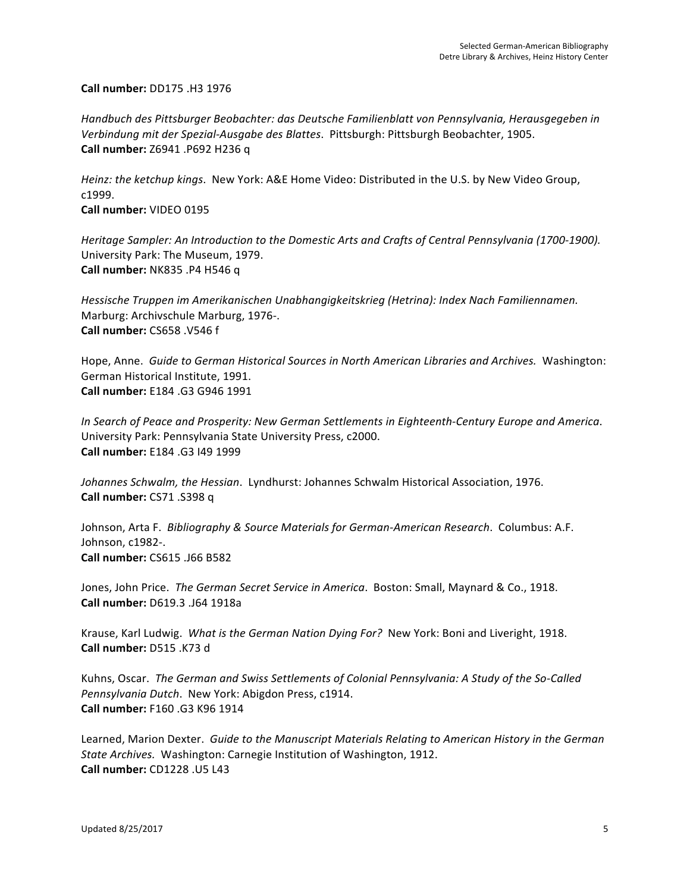**Call number:** DD175 .H3 1976

Handbuch des Pittsburger Beobachter: das Deutsche Familienblatt von Pennsylvania, Herausgegeben in Verbindung mit der Spezial-Ausgabe des Blattes. Pittsburgh: Pittsburgh Beobachter, 1905. **Call number:** Z6941 .P692 H236 q

Heinz: the ketchup kings. New York: A&E Home Video: Distributed in the U.S. by New Video Group, c1999. **Call number:** VIDEO 0195

Heritage Sampler: An Introduction to the Domestic Arts and Crafts of Central Pennsylvania (1700-1900). University Park: The Museum, 1979. **Call number:** NK835 .P4 H546 q

Hessische Truppen im Amerikanischen Unabhangigkeitskrieg (Hetrina): Index Nach Familiennamen. Marburg: Archivschule Marburg, 1976-. **Call number:** CS658 .V546 f

Hope, Anne. Guide to German Historical Sources in North American Libraries and Archives. Washington: German Historical Institute, 1991. **Call number:** E184 .G3 G946 1991 

*In Search of Peace and Prosperity: New German Settlements in Eighteenth-Century Europe and America*. University Park: Pennsylvania State University Press, c2000. **Call number:** E184 .G3 I49 1999 

Johannes Schwalm, the Hessian. Lyndhurst: Johannes Schwalm Historical Association, 1976. **Call number:** CS71 .S398 q

Johnson, Arta F. *Bibliography & Source Materials for German-American Research.* Columbus: A.F. Johnson, c1982-. **Call number:** CS615 .J66 B582

Jones, John Price. The German Secret Service in America. Boston: Small, Maynard & Co., 1918. **Call number:** D619.3 .J64 1918a

Krause, Karl Ludwig. What is the German Nation Dying For? New York: Boni and Liveright, 1918. **Call number:** D515 .K73 d

Kuhns, Oscar. The German and Swiss Settlements of Colonial Pennsylvania: A Study of the So-Called Pennsylvania Dutch. New York: Abigdon Press, c1914. **Call number:** F160 .G3 K96 1914

Learned, Marion Dexter. Guide to the Manuscript Materials Relating to American History in the German State Archives. Washington: Carnegie Institution of Washington, 1912. **Call number:** CD1228 .U5 L43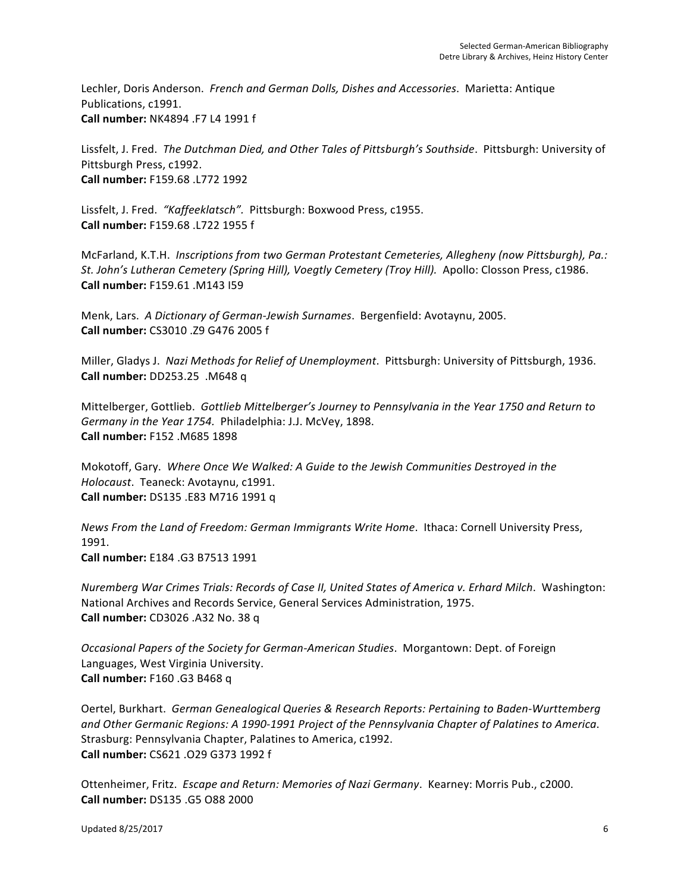Lechler, Doris Anderson. French and German Dolls, Dishes and Accessories. Marietta: Antique Publications, c1991. **Call number:** NK4894 .F7 L4 1991 f 

Lissfelt, J. Fred. The Dutchman Died, and Other Tales of Pittsburgh's Southside. Pittsburgh: University of Pittsburgh Press, c1992. **Call number:** F159.68 .L772 1992 

Lissfelt, J. Fred. "Kaffeeklatsch". Pittsburgh: Boxwood Press, c1955. **Call number:** F159.68 .L722 1955 f 

McFarland, K.T.H. *Inscriptions from two German Protestant Cemeteries, Allegheny (now Pittsburgh), Pa.: St. John's Lutheran Cemetery (Spring Hill), Voegtly Cemetery (Troy Hill).* Apollo: Closson Press, c1986. **Call number:** F159.61 .M143 I59 

Menk, Lars. A Dictionary of German-Jewish Surnames. Bergenfield: Avotaynu, 2005. **Call number:** CS3010 .Z9 G476 2005 f 

Miller, Gladys J. Nazi Methods for Relief of Unemployment. Pittsburgh: University of Pittsburgh, 1936. **Call number:** DD253.25 .M648 q

Mittelberger, Gottlieb. Gottlieb Mittelberger's Journey to Pennsylvania in the Year 1750 and Return to *Germany in the Year 1754.* Philadelphia: J.J. McVey, 1898. **Call number:** F152 .M685 1898 

Mokotoff, Gary. Where Once We Walked: A Guide to the Jewish Communities Destroyed in the *Holocaust.* Teaneck: Avotaynu, c1991. **Call number:** DS135 .E83 M716 1991 q

*News From the Land of Freedom: German Immigrants Write Home.* Ithaca: Cornell University Press, 1991. **Call number:** E184 .G3 B7513 1991 

*Nuremberg War Crimes Trials: Records of Case II, United States of America v. Erhard Milch. Washington:* National Archives and Records Service, General Services Administration, 1975.

**Call number:** CD3026 .A32 No. 38 q

*Occasional Papers of the Society for German-American Studies. Morgantown: Dept. of Foreign* Languages, West Virginia University. **Call number:** F160 .G3 B468 q

Oertel, Burkhart. German Genealogical Queries & Research Reports: Pertaining to Baden-Wurttemberg and Other Germanic Regions: A 1990-1991 Project of the Pennsylvania Chapter of Palatines to America. Strasburg: Pennsylvania Chapter, Palatines to America, c1992. **Call number:** CS621 .O29 G373 1992 f 

Ottenheimer, Fritz. *Escape and Return: Memories of Nazi Germany*. Kearney: Morris Pub., c2000. **Call number:** DS135 .G5 O88 2000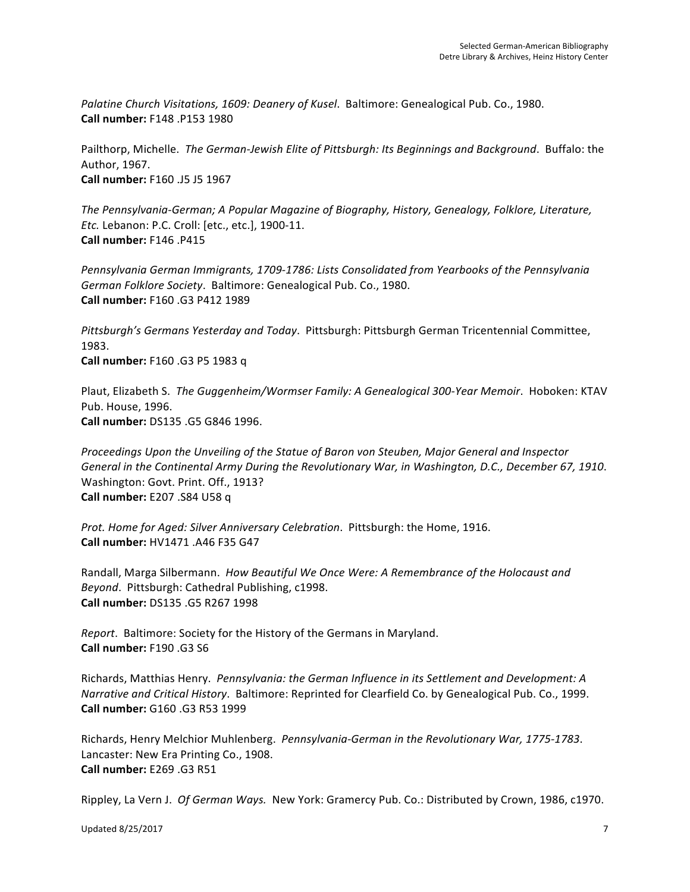Palatine Church Visitations, 1609: Deanery of Kusel. Baltimore: Genealogical Pub. Co., 1980. **Call number:** F148 .P153 1980

Pailthorp, Michelle. The German-Jewish Elite of Pittsburgh: Its Beginnings and Background. Buffalo: the Author, 1967. **Call number:** F160 .J5 J5 1967

The Pennsylvania-German; A Popular Magazine of Biography, History, Genealogy, Folklore, Literature, *Etc.* Lebanon: P.C. Croll: [etc., etc.], 1900-11. **Call number:** F146 .P415

Pennsylvania German Immigrants, 1709-1786: Lists Consolidated from Yearbooks of the Pennsylvania German Folklore Society. Baltimore: Genealogical Pub. Co., 1980. **Call number:** F160 .G3 P412 1989 

Pittsburgh's Germans Yesterday and Today. Pittsburgh: Pittsburgh German Tricentennial Committee, 1983. **Call number:** F160 .G3 P5 1983 q

Plaut, Elizabeth S. The Guggenheim/Wormser Family: A Genealogical 300-Year Memoir. Hoboken: KTAV Pub. House, 1996. **Call number:** DS135 .G5 G846 1996. 

*Proceedings Upon the Unveiling of the Statue of Baron von Steuben, Major General and Inspector* General in the Continental Army During the Revolutionary War, in Washington, D.C., December 67, 1910. Washington: Govt. Print. Off., 1913? **Call number:** E207 .S84 U58 q

*Prot. Home for Aged: Silver Anniversary Celebration.* Pittsburgh: the Home, 1916. **Call number:** HV1471 .A46 F35 G47 

Randall, Marga Silbermann. *How Beautiful We Once Were: A Remembrance of the Holocaust and* Beyond. Pittsburgh: Cathedral Publishing, c1998. **Call number:** DS135 .G5 R267 1998 

*Report.* Baltimore: Society for the History of the Germans in Maryland. **Call number:** F190 .G3 S6

Richards, Matthias Henry. Pennsylvania: the German Influence in its Settlement and Development: A *Narrative and Critical History.* Baltimore: Reprinted for Clearfield Co. by Genealogical Pub. Co., 1999. **Call number:** G160 .G3 R53 1999 

Richards, Henry Melchior Muhlenberg. *Pennsylvania-German in the Revolutionary War, 1775-1783*. Lancaster: New Era Printing Co., 1908. **Call number:** E269 .G3 R51 

Rippley, La Vern J. Of German Ways. New York: Gramercy Pub. Co.: Distributed by Crown, 1986, c1970.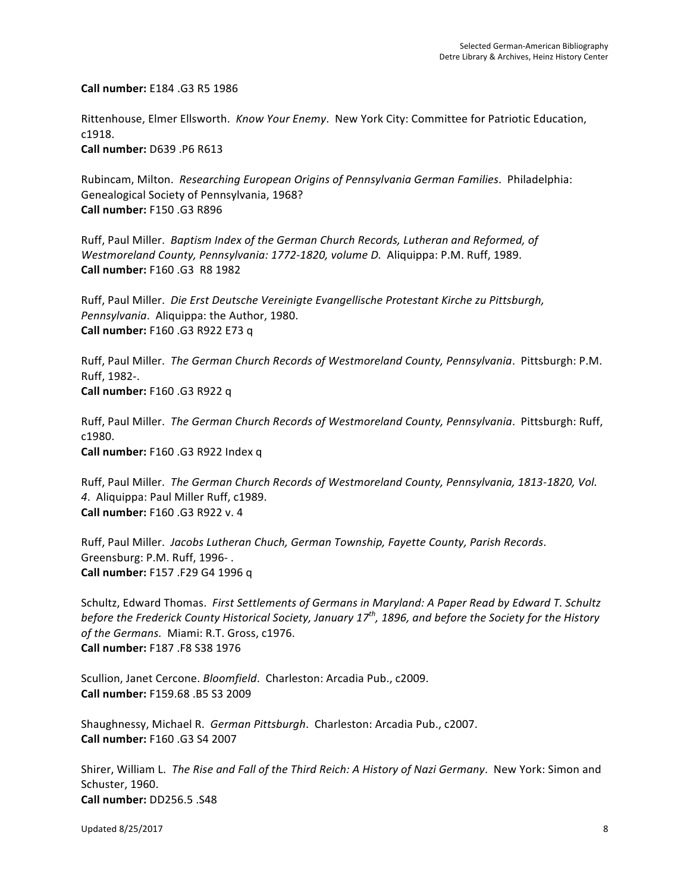**Call number:** E184 .G3 R5 1986 

Rittenhouse, Elmer Ellsworth. Know Your Enemy. New York City: Committee for Patriotic Education, c1918. 

**Call number:** D639 .P6 R613

Rubincam, Milton. Researching European Origins of Pennsylvania German Families. Philadelphia: Genealogical Society of Pennsylvania, 1968? **Call number:** F150 .G3 R896

Ruff, Paul Miller. Baptism Index of the German Church Records, Lutheran and Reformed, of *Westmoreland County, Pennsylvania: 1772-1820, volume D. Aliquippa: P.M. Ruff, 1989.* **Call number:** F160 .G3 R8 1982 

Ruff, Paul Miller. Die Erst Deutsche Vereinigte Evangellische Protestant Kirche zu Pittsburgh, Pennsylvania. Aliquippa: the Author, 1980. **Call number:** F160 .G3 R922 E73 q 

Ruff, Paul Miller. The German Church Records of Westmoreland County, Pennsylvania. Pittsburgh: P.M. Ruff, 1982-. **Call number:** F160 .G3 R922 q

Ruff, Paul Miller. The German Church Records of Westmoreland County, Pennsylvania. Pittsburgh: Ruff, c1980. **Call number:** F160 .G3 R922 Index q 

Ruff, Paul Miller. The German Church Records of Westmoreland County, Pennsylvania, 1813-1820, Vol. 4. Aliquippa: Paul Miller Ruff, c1989. **Call number:** F160 .G3 R922 v. 4 

Ruff, Paul Miller. Jacobs Lutheran Chuch, German Township, Fayette County, Parish Records. Greensburg: P.M. Ruff, 1996-. **Call number:** F157 .F29 G4 1996 q

Schultz, Edward Thomas. First Settlements of Germans in Maryland: A Paper Read by Edward T. Schultz *before the Frederick County Historical Society, January 17<sup>th</sup>, 1896, and before the Society for the History* of the Germans. Miami: R.T. Gross, c1976. **Call number:** F187 .F8 S38 1976

Scullion, Janet Cercone. *Bloomfield*. Charleston: Arcadia Pub., c2009. **Call number:** F159.68 .B5 S3 2009 

Shaughnessy, Michael R. German Pittsburgh. Charleston: Arcadia Pub., c2007. **Call number:** F160 .G3 S4 2007 

Shirer, William L. *The Rise and Fall of the Third Reich: A History of Nazi Germany.* New York: Simon and Schuster, 1960. **Call number:** DD256.5 .S48 

Updated 8/25/2017 8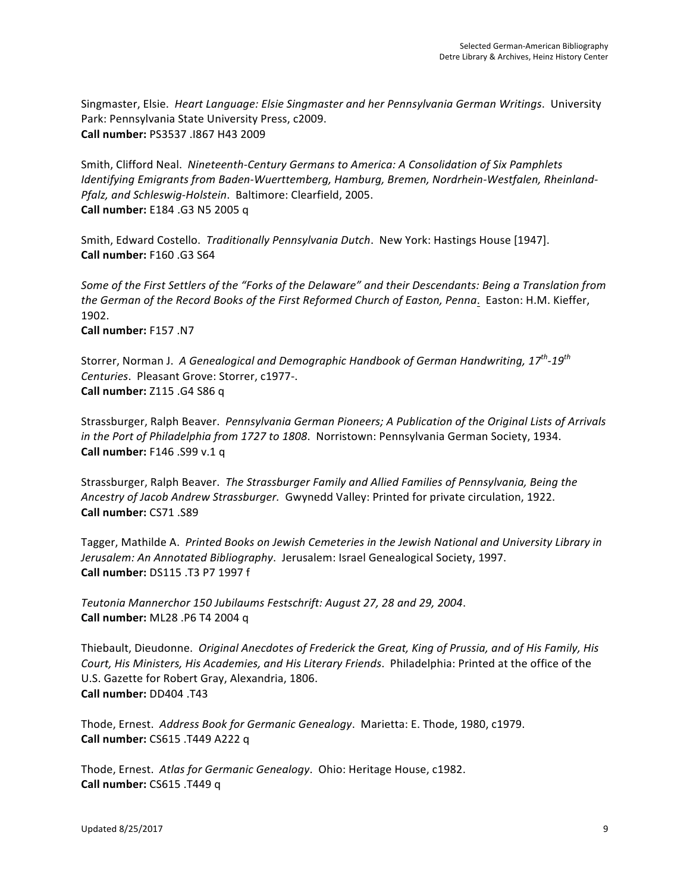Singmaster, Elsie. Heart Language: Elsie Singmaster and her Pennsylvania German Writings. University Park: Pennsylvania State University Press, c2009. **Call number:** PS3537 .I867 H43 2009 

Smith, Clifford Neal. Nineteenth-Century Germans to America: A Consolidation of Six Pamphlets Identifying Emigrants from Baden-Wuerttemberg, Hamburg, Bremen, Nordrhein-Westfalen, Rheinland-*Pfalz, and Schleswig-Holstein.* Baltimore: Clearfield, 2005. **Call number:** E184 .G3 N5 2005 q 

Smith, Edward Costello. *Traditionally Pennsylvania Dutch*. New York: Hastings House [1947]. **Call number:** F160 .G3 S64

Some of the First Settlers of the "Forks of the Delaware" and their Descendants: Being a Translation from the German of the Record Books of the First Reformed Church of Easton, Penna. Easton: H.M. Kieffer, 1902. 

**Call number:** F157 .N7 

Storrer, Norman J. A Genealogical and Demographic Handbook of German Handwriting, 17<sup>th</sup>-19<sup>th</sup> *Centuries*. Pleasant Grove: Storrer, c1977-. **Call number:** Z115 .G4 S86 q 

Strassburger, Ralph Beaver. Pennsylvania German Pioneers; A Publication of the Original Lists of Arrivals *in the Port of Philadelphia from 1727 to 1808.* Norristown: Pennsylvania German Society, 1934. **Call number:** F146 .S99 v.1 q

Strassburger, Ralph Beaver. The Strassburger Family and Allied Families of Pennsylvania, Being the Ancestry of Jacob Andrew Strassburger. Gwynedd Valley: Printed for private circulation, 1922. **Call number:** CS71 .S89 

Tagger, Mathilde A. Printed Books on Jewish Cemeteries in the Jewish National and University Library in Jerusalem: An Annotated Bibliography. Jerusalem: Israel Genealogical Society, 1997. **Call number:** DS115 .T3 P7 1997 f 

*Teutonia Mannerchor 150 Jubilaums Festschrift: August 27, 28 and 29, 2004*. **Call number:** ML28 .P6 T4 2004 q 

Thiebault, Dieudonne. *Original Anecdotes of Frederick the Great, King of Prussia, and of His Family, His* Court, His Ministers, His Academies, and His Literary Friends. Philadelphia: Printed at the office of the U.S. Gazette for Robert Gray, Alexandria, 1806. **Call number:** DD404 .T43 

Thode, Ernest. Address Book for Germanic Genealogy. Marietta: E. Thode, 1980, c1979. **Call number:** CS615 .T449 A222 q 

Thode, Ernest. Atlas for Germanic Genealogy. Ohio: Heritage House, c1982. **Call number:** CS615 .T449 q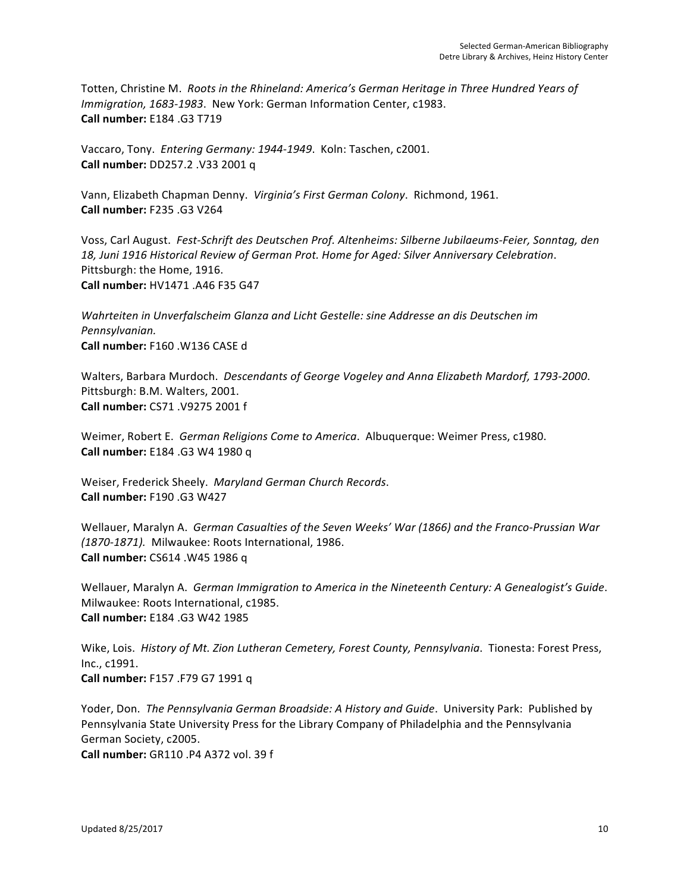Totten, Christine M. Roots in the Rhineland: America's German Heritage in Three Hundred Years of *Immigration, 1683-1983.* New York: German Information Center, c1983. **Call number:** E184 .G3 T719 

Vaccaro, Tony. *Entering Germany: 1944-1949*. Koln: Taschen, c2001. **Call number:** DD257.2 .V33 2001 q 

Vann, Elizabeth Chapman Denny. Virginia's First German Colony. Richmond, 1961. **Call number:** F235 .G3 V264 

Voss, Carl August. Fest-Schrift des Deutschen Prof. Altenheims: Silberne Jubilaeums-Feier, Sonntag, den 18, Juni 1916 Historical Review of German Prot. Home for Aged: Silver Anniversary Celebration. Pittsburgh: the Home, 1916. **Call number:** HV1471 .A46 F35 G47 

*Wahrteiten in Unverfalscheim Glanza and Licht Gestelle: sine Addresse an dis Deutschen im Pennsylvanian.*  **Call number:** F160 .W136 CASE d

Walters, Barbara Murdoch. Descendants of George Vogeley and Anna Elizabeth Mardorf, 1793-2000. Pittsburgh: B.M. Walters, 2001. **Call number:** CS71 .V9275 2001 f

Weimer, Robert E. *German Religions Come to America*. Albuquerque: Weimer Press, c1980. **Call number:** E184 .G3 W4 1980 q

Weiser, Frederick Sheely. Maryland German Church Records. **Call number:** F190 .G3 W427

Wellauer, Maralyn A. German Casualties of the Seven Weeks' War (1866) and the Franco-Prussian War *(1870-1871).* Milwaukee: Roots International, 1986. **Call number:** CS614 .W45 1986 q 

Wellauer, Maralyn A. German Immigration to America in the Nineteenth Century: A Genealogist's Guide. Milwaukee: Roots International, c1985. **Call number:** E184 .G3 W42 1985 

Wike, Lois. History of Mt. Zion Lutheran Cemetery, Forest County, Pennsylvania. Tionesta: Forest Press, Inc., c1991. **Call number:** F157 .F79 G7 1991 q 

Yoder, Don. *The Pennsylvania German Broadside: A History and Guide*. University Park: Published by Pennsylvania State University Press for the Library Company of Philadelphia and the Pennsylvania German Society, c2005. **Call number:** GR110 .P4 A372 vol. 39 f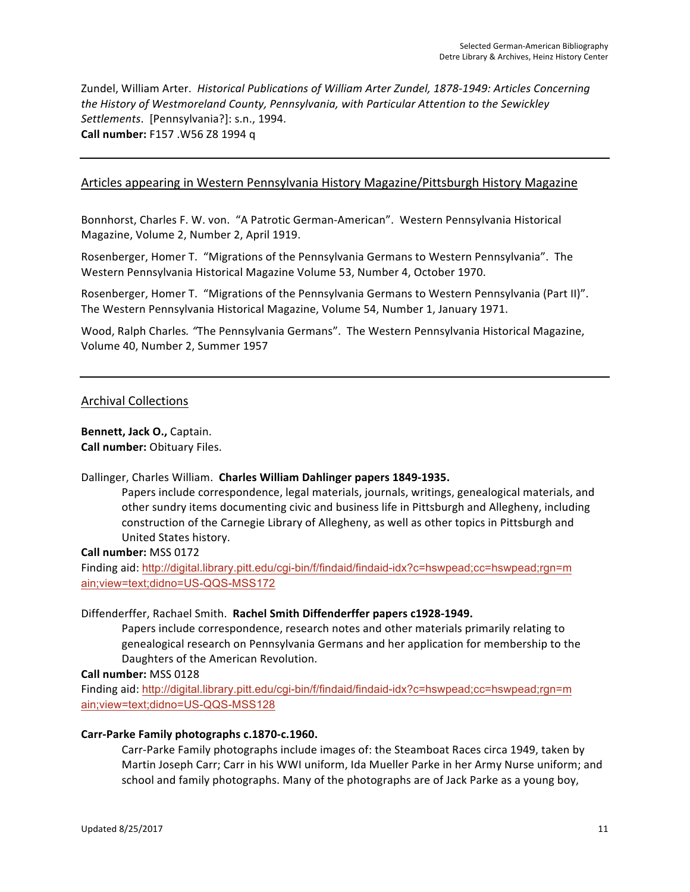Zundel, William Arter. Historical Publications of William Arter Zundel, 1878-1949: Articles Concerning the History of Westmoreland County, Pennsylvania, with Particular Attention to the Sewickley *Settlements.* [Pennsylvania?]: s.n., 1994. **Call number:** F157 .W56 Z8 1994 q 

# Articles appearing in Western Pennsylvania History Magazine/Pittsburgh History Magazine

Bonnhorst, Charles F. W. von. "A Patrotic German-American". Western Pennsylvania Historical Magazine, Volume 2, Number 2, April 1919.

Rosenberger, Homer T. "Migrations of the Pennsylvania Germans to Western Pennsylvania". The Western Pennsylvania Historical Magazine Volume 53, Number 4, October 1970.

Rosenberger, Homer T. "Migrations of the Pennsylvania Germans to Western Pennsylvania (Part II)". The Western Pennsylvania Historical Magazine, Volume 54, Number 1, January 1971.

Wood, Ralph Charles. "The Pennsylvania Germans". The Western Pennsylvania Historical Magazine, Volume 40, Number 2, Summer 1957

#### Archival Collections

**Bennett, Jack O., Captain. Call number:** Obituary Files.

#### Dallinger, Charles William. Charles William Dahlinger papers 1849-1935.

Papers include correspondence, legal materials, journals, writings, genealogical materials, and other sundry items documenting civic and business life in Pittsburgh and Allegheny, including construction of the Carnegie Library of Allegheny, as well as other topics in Pittsburgh and United States history.

**Call number:** MSS 0172

Finding aid: http://digital.library.pitt.edu/cgi-bin/f/findaid/findaid-idx?c=hswpead;cc=hswpead;rgn=m ain;view=text;didno=US-QQS-MSS172

#### Diffenderffer, Rachael Smith. Rachel Smith Diffenderffer papers c1928-1949.

Papers include correspondence, research notes and other materials primarily relating to genealogical research on Pennsylvania Germans and her application for membership to the Daughters of the American Revolution.

**Call number:** MSS 0128

Finding aid: http://digital.library.pitt.edu/cgi-bin/f/findaid/findaid-idx?c=hswpead;cc=hswpead;rgn=m ain;view=text;didno=US-QQS-MSS128

#### Carr-Parke Family photographs c.1870-c.1960.

Carr-Parke Family photographs include images of: the Steamboat Races circa 1949, taken by Martin Joseph Carr; Carr in his WWI uniform, Ida Mueller Parke in her Army Nurse uniform; and school and family photographs. Many of the photographs are of Jack Parke as a young boy,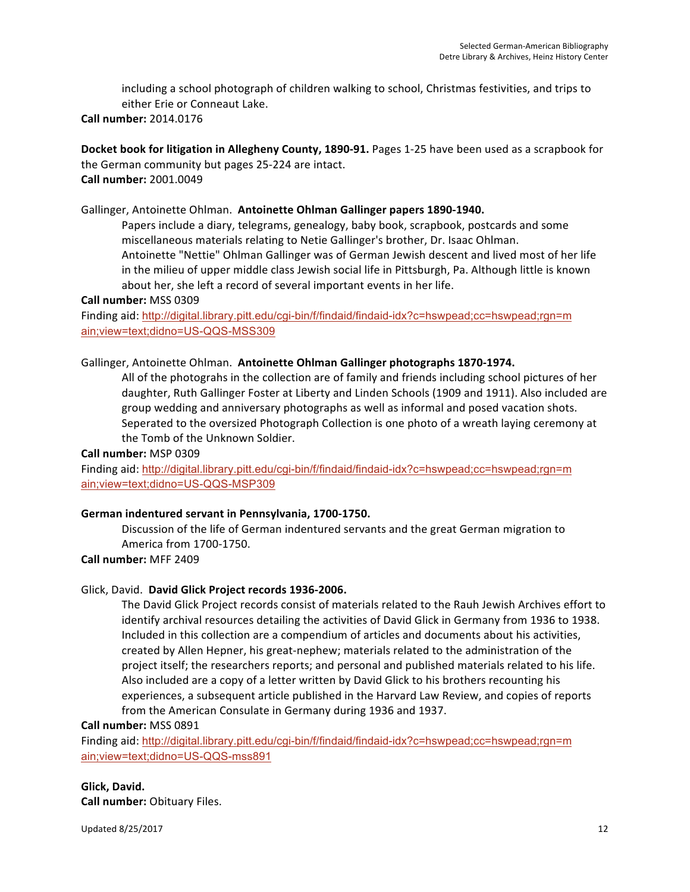including a school photograph of children walking to school, Christmas festivities, and trips to either Erie or Conneaut Lake.

**Call number:** 2014.0176

**Docket book for litigation in Allegheny County, 1890-91.** Pages 1-25 have been used as a scrapbook for the German community but pages 25-224 are intact. **Call number:** 2001.0049

# Gallinger, Antoinette Ohlman. Antoinette Ohlman Gallinger papers 1890-1940.

Papers include a diary, telegrams, genealogy, baby book, scrapbook, postcards and some miscellaneous materials relating to Netie Gallinger's brother, Dr. Isaac Ohlman. Antoinette "Nettie" Ohlman Gallinger was of German Jewish descent and lived most of her life in the milieu of upper middle class Jewish social life in Pittsburgh, Pa. Although little is known about her, she left a record of several important events in her life.

**Call number:** MSS 0309

Finding aid: http://digital.library.pitt.edu/cgi-bin/f/findaid/findaid-idx?c=hswpead;cc=hswpead;rgn=m ain;view=text;didno=US-QQS-MSS309

# Gallinger, Antoinette Ohlman. Antoinette Ohlman Gallinger photographs 1870-1974.

All of the photograhs in the collection are of family and friends including school pictures of her daughter, Ruth Gallinger Foster at Liberty and Linden Schools (1909 and 1911). Also included are group wedding and anniversary photographs as well as informal and posed vacation shots. Seperated to the oversized Photograph Collection is one photo of a wreath laying ceremony at the Tomb of the Unknown Soldier.

#### **Call number:** MSP 0309

Finding aid: http://digital.library.pitt.edu/cgi-bin/f/findaid/findaid-idx?c=hswpead;cc=hswpead;rgn=m ain;view=text;didno=US-QQS-MSP309

#### German indentured servant in Pennsylvania, 1700-1750.

Discussion of the life of German indentured servants and the great German migration to America from 1700-1750.

**Call number:** MFF 2409

#### Glick, David. David Glick Project records 1936-2006.

The David Glick Project records consist of materials related to the Rauh Jewish Archives effort to identify archival resources detailing the activities of David Glick in Germany from 1936 to 1938. Included in this collection are a compendium of articles and documents about his activities, created by Allen Hepner, his great-nephew; materials related to the administration of the project itself; the researchers reports; and personal and published materials related to his life. Also included are a copy of a letter written by David Glick to his brothers recounting his experiences, a subsequent article published in the Harvard Law Review, and copies of reports from the American Consulate in Germany during 1936 and 1937.

**Call number:** MSS 0891

Finding aid: http://digital.library.pitt.edu/cgi-bin/f/findaid/findaid-idx?c=hswpead;cc=hswpead;rgn=m ain;view=text;didno=US-QQS-mss891

# **Glick, David.**

**Call number:** Obituary Files.

Updated 8/25/2017 12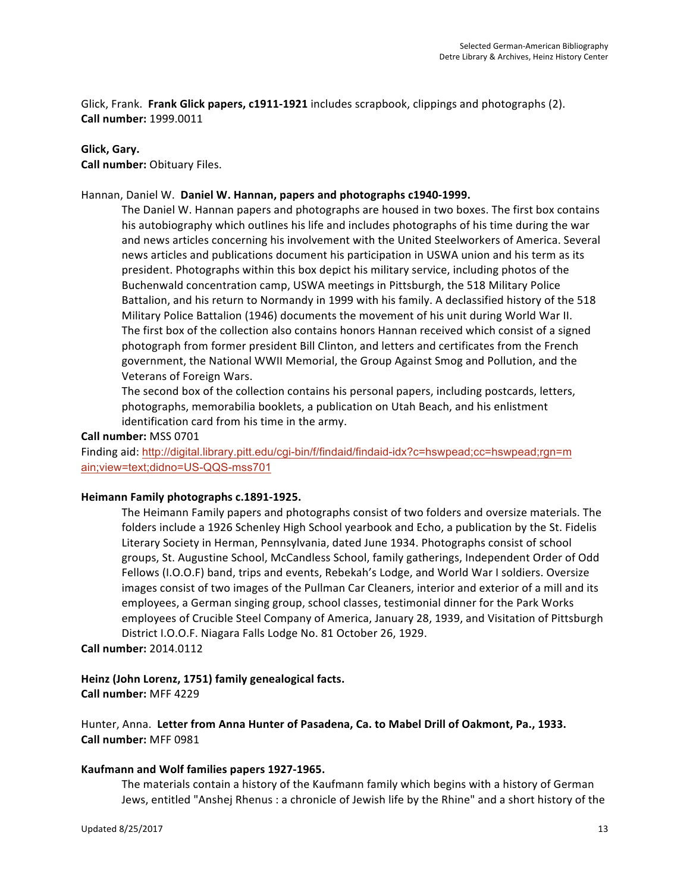Glick, Frank. Frank Glick papers, c1911-1921 includes scrapbook, clippings and photographs (2). **Call number:** 1999.0011

# **Glick, Gary.**

**Call number:** Obituary Files.

#### Hannan, Daniel W. Daniel W. Hannan, papers and photographs c1940-1999.

The Daniel W. Hannan papers and photographs are housed in two boxes. The first box contains his autobiography which outlines his life and includes photographs of his time during the war and news articles concerning his involvement with the United Steelworkers of America. Several news articles and publications document his participation in USWA union and his term as its president. Photographs within this box depict his military service, including photos of the Buchenwald concentration camp, USWA meetings in Pittsburgh, the 518 Military Police Battalion, and his return to Normandy in 1999 with his family. A declassified history of the 518 Military Police Battalion (1946) documents the movement of his unit during World War II. The first box of the collection also contains honors Hannan received which consist of a signed photograph from former president Bill Clinton, and letters and certificates from the French government, the National WWII Memorial, the Group Against Smog and Pollution, and the Veterans of Foreign Wars.

The second box of the collection contains his personal papers, including postcards, letters, photographs, memorabilia booklets, a publication on Utah Beach, and his enlistment identification card from his time in the army.

#### **Call number:** MSS 0701

Finding aid: http://digital.library.pitt.edu/cgi-bin/f/findaid/findaid-idx?c=hswpead;cc=hswpead;rgn=m ain;view=text;didno=US-QQS-mss701

#### Heimann Family photographs c.1891-1925.

The Heimann Family papers and photographs consist of two folders and oversize materials. The folders include a 1926 Schenley High School yearbook and Echo, a publication by the St. Fidelis Literary Society in Herman, Pennsylvania, dated June 1934. Photographs consist of school groups, St. Augustine School, McCandless School, family gatherings, Independent Order of Odd Fellows (I.O.O.F) band, trips and events, Rebekah's Lodge, and World War I soldiers. Oversize images consist of two images of the Pullman Car Cleaners, interior and exterior of a mill and its employees, a German singing group, school classes, testimonial dinner for the Park Works employees of Crucible Steel Company of America, January 28, 1939, and Visitation of Pittsburgh District I.O.O.F. Niagara Falls Lodge No. 81 October 26, 1929.

**Call number:** 2014.0112

# Heinz (John Lorenz, 1751) family genealogical facts.

**Call number:** MFF 4229

Hunter, Anna. Letter from Anna Hunter of Pasadena, Ca. to Mabel Drill of Oakmont, Pa., 1933. **Call number:** MFF 0981

#### Kaufmann and Wolf families papers 1927-1965.

The materials contain a history of the Kaufmann family which begins with a history of German Jews, entitled "Anshej Rhenus : a chronicle of Jewish life by the Rhine" and a short history of the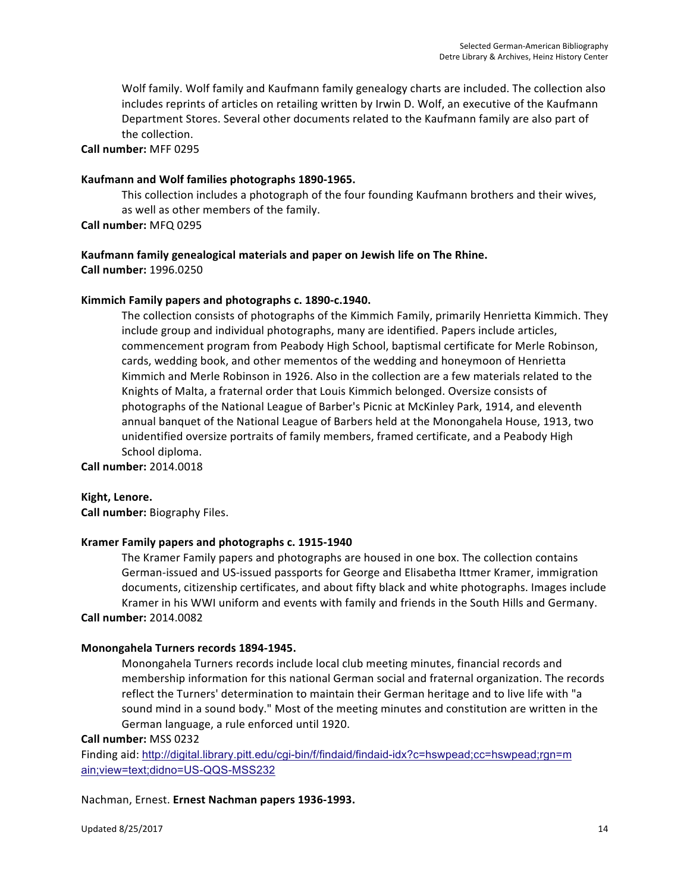Wolf family. Wolf family and Kaufmann family genealogy charts are included. The collection also includes reprints of articles on retailing written by Irwin D. Wolf, an executive of the Kaufmann Department Stores. Several other documents related to the Kaufmann family are also part of the collection.

**Call number:** MFF 0295

### **Kaufmann and Wolf families photographs 1890-1965.**

This collection includes a photograph of the four founding Kaufmann brothers and their wives, as well as other members of the family.

**Call number:** MFQ 0295

# **Kaufmann family genealogical materials and paper on Jewish life on The Rhine. Call number:** 1996.0250

# Kimmich Family papers and photographs c. 1890-c.1940.

The collection consists of photographs of the Kimmich Family, primarily Henrietta Kimmich. They include group and individual photographs, many are identified. Papers include articles, commencement program from Peabody High School, baptismal certificate for Merle Robinson, cards, wedding book, and other mementos of the wedding and honeymoon of Henrietta Kimmich and Merle Robinson in 1926. Also in the collection are a few materials related to the Knights of Malta, a fraternal order that Louis Kimmich belonged. Oversize consists of photographs of the National League of Barber's Picnic at McKinley Park, 1914, and eleventh annual banquet of the National League of Barbers held at the Monongahela House, 1913, two unidentified oversize portraits of family members, framed certificate, and a Peabody High School diploma.

**Call number:** 2014.0018

#### **Kight, Lenore.**

**Call number:** Biography Files.

#### Kramer Family papers and photographs c. 1915-1940

The Kramer Family papers and photographs are housed in one box. The collection contains German-issued and US-issued passports for George and Elisabetha Ittmer Kramer, immigration documents, citizenship certificates, and about fifty black and white photographs. Images include Kramer in his WWI uniform and events with family and friends in the South Hills and Germany. **Call number:** 2014.0082

#### **Monongahela Turners records 1894-1945.**

Monongahela Turners records include local club meeting minutes, financial records and membership information for this national German social and fraternal organization. The records reflect the Turners' determination to maintain their German heritage and to live life with "a sound mind in a sound body." Most of the meeting minutes and constitution are written in the German language, a rule enforced until 1920.

**Call number:** MSS 0232

Finding aid: http://digital.library.pitt.edu/cgi-bin/f/findaid/findaid-idx?c=hswpead;cc=hswpead;rgn=m ain;view=text;didno=US-QQS-MSS232

#### Nachman, Ernest. Ernest Nachman papers 1936-1993.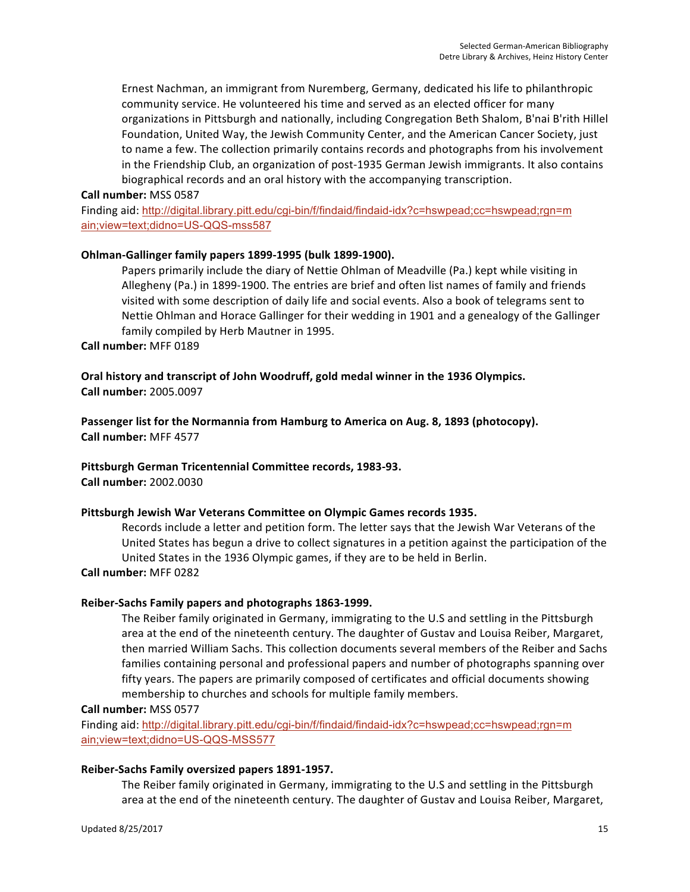Ernest Nachman, an immigrant from Nuremberg, Germany, dedicated his life to philanthropic community service. He volunteered his time and served as an elected officer for many organizations in Pittsburgh and nationally, including Congregation Beth Shalom, B'nai B'rith Hillel Foundation, United Way, the Jewish Community Center, and the American Cancer Society, just to name a few. The collection primarily contains records and photographs from his involvement in the Friendship Club, an organization of post-1935 German Jewish immigrants. It also contains biographical records and an oral history with the accompanying transcription.

### **Call number:** MSS 0587

Finding aid: http://digital.library.pitt.edu/cgi-bin/f/findaid/findaid-idx?c=hswpead;cc=hswpead;rgn=m ain;view=text;didno=US-QQS-mss587

# **Ohlman-Gallinger family papers 1899-1995 (bulk 1899-1900).**

Papers primarily include the diary of Nettie Ohlman of Meadville (Pa.) kept while visiting in Allegheny (Pa.) in 1899-1900. The entries are brief and often list names of family and friends visited with some description of daily life and social events. Also a book of telegrams sent to Nettie Ohlman and Horace Gallinger for their wedding in 1901 and a genealogy of the Gallinger family compiled by Herb Mautner in 1995.

# **Call number:** MFF 0189

Oral history and transcript of John Woodruff, gold medal winner in the 1936 Olympics. **Call number:** 2005.0097

Passenger list for the Normannia from Hamburg to America on Aug. 8, 1893 (photocopy). **Call number:** MFF 4577

# Pittsburgh German Tricentennial Committee records, 1983-93.

**Call number:** 2002.0030

#### Pittsburgh Jewish War Veterans Committee on Olympic Games records 1935.

Records include a letter and petition form. The letter says that the Jewish War Veterans of the United States has begun a drive to collect signatures in a petition against the participation of the United States in the 1936 Olympic games, if they are to be held in Berlin.

#### **Call number:** MFF 0282

# Reiber-Sachs Family papers and photographs 1863-1999.

The Reiber family originated in Germany, immigrating to the U.S and settling in the Pittsburgh area at the end of the nineteenth century. The daughter of Gustav and Louisa Reiber, Margaret, then married William Sachs. This collection documents several members of the Reiber and Sachs families containing personal and professional papers and number of photographs spanning over fifty years. The papers are primarily composed of certificates and official documents showing membership to churches and schools for multiple family members.

**Call number:** MSS 0577

Finding aid: http://digital.library.pitt.edu/cgi-bin/f/findaid/findaid-idx?c=hswpead;cc=hswpead;rgn=m ain;view=text;didno=US-QQS-MSS577

#### Reiber-Sachs Family oversized papers 1891-1957.

The Reiber family originated in Germany, immigrating to the U.S and settling in the Pittsburgh area at the end of the nineteenth century. The daughter of Gustav and Louisa Reiber, Margaret,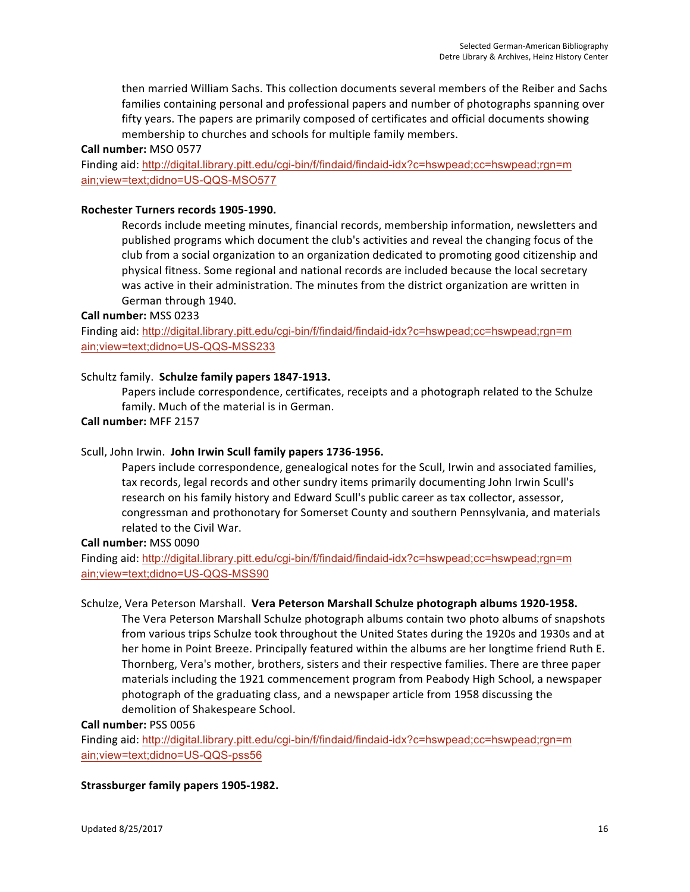then married William Sachs. This collection documents several members of the Reiber and Sachs families containing personal and professional papers and number of photographs spanning over fifty years. The papers are primarily composed of certificates and official documents showing membership to churches and schools for multiple family members.

**Call number:** MSO 0577

Finding aid: http://digital.library.pitt.edu/cgi-bin/f/findaid/findaid-idx?c=hswpead;cc=hswpead;rgn=m ain;view=text;didno=US-QQS-MSO577

#### Rochester Turners records 1905-1990.

Records include meeting minutes, financial records, membership information, newsletters and published programs which document the club's activities and reveal the changing focus of the club from a social organization to an organization dedicated to promoting good citizenship and physical fitness. Some regional and national records are included because the local secretary was active in their administration. The minutes from the district organization are written in German through 1940.

#### **Call number:** MSS 0233

Finding aid: http://digital.library.pitt.edu/cgi-bin/f/findaid/findaid-idx?c=hswpead;cc=hswpead;rgn=m ain;view=text;didno=US-QQS-MSS233

#### Schultz family. Schulze family papers 1847-1913.

Papers include correspondence, certificates, receipts and a photograph related to the Schulze family. Much of the material is in German.

# **Call number:** MFF 2157

# Scull, John Irwin. John Irwin Scull family papers 1736-1956.

Papers include correspondence, genealogical notes for the Scull, Irwin and associated families, tax records, legal records and other sundry items primarily documenting John Irwin Scull's research on his family history and Edward Scull's public career as tax collector, assessor, congressman and prothonotary for Somerset County and southern Pennsylvania, and materials related to the Civil War.

#### **Call number:** MSS 0090

Finding aid: http://digital.library.pitt.edu/cgi-bin/f/findaid/findaid-idx?c=hswpead;cc=hswpead;rgn=m ain;view=text;didno=US-QQS-MSS90

#### Schulze, Vera Peterson Marshall. Vera Peterson Marshall Schulze photograph albums 1920-1958.

The Vera Peterson Marshall Schulze photograph albums contain two photo albums of snapshots from various trips Schulze took throughout the United States during the 1920s and 1930s and at her home in Point Breeze. Principally featured within the albums are her longtime friend Ruth E. Thornberg, Vera's mother, brothers, sisters and their respective families. There are three paper materials including the 1921 commencement program from Peabody High School, a newspaper photograph of the graduating class, and a newspaper article from 1958 discussing the demolition of Shakespeare School.

**Call number:** PSS 0056

Finding aid: http://digital.library.pitt.edu/cgi-bin/f/findaid/findaid-idx?c=hswpead;cc=hswpead;rgn=m ain;view=text;didno=US-QQS-pss56

#### **Strassburger family papers 1905-1982.**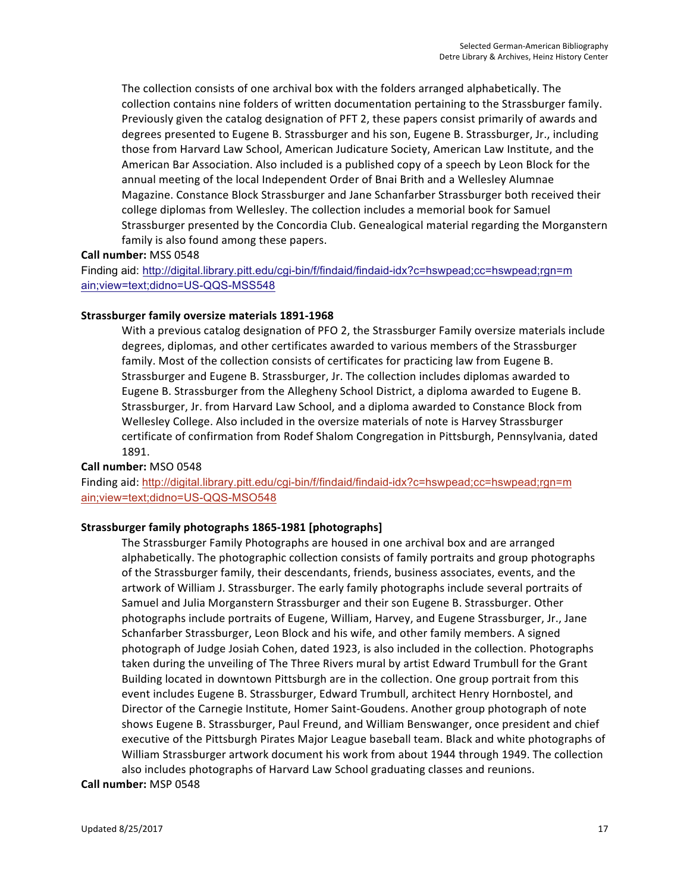The collection consists of one archival box with the folders arranged alphabetically. The collection contains nine folders of written documentation pertaining to the Strassburger family. Previously given the catalog designation of PFT 2, these papers consist primarily of awards and degrees presented to Eugene B. Strassburger and his son, Eugene B. Strassburger, Jr., including those from Harvard Law School, American Judicature Society, American Law Institute, and the American Bar Association. Also included is a published copy of a speech by Leon Block for the annual meeting of the local Independent Order of Bnai Brith and a Wellesley Alumnae Magazine. Constance Block Strassburger and Jane Schanfarber Strassburger both received their college diplomas from Wellesley. The collection includes a memorial book for Samuel Strassburger presented by the Concordia Club. Genealogical material regarding the Morganstern family is also found among these papers.

# **Call number:** MSS 0548

Finding aid: http://digital.library.pitt.edu/cgi-bin/f/findaid/findaid-idx?c=hswpead;cc=hswpead;rgn=m ain;view=text;didno=US-QQS-MSS548

#### **Strassburger family oversize materials 1891-1968**

With a previous catalog designation of PFO 2, the Strassburger Family oversize materials include degrees, diplomas, and other certificates awarded to various members of the Strassburger family. Most of the collection consists of certificates for practicing law from Eugene B. Strassburger and Eugene B. Strassburger, Jr. The collection includes diplomas awarded to Eugene B. Strassburger from the Allegheny School District, a diploma awarded to Eugene B. Strassburger, Jr. from Harvard Law School, and a diploma awarded to Constance Block from Wellesley College. Also included in the oversize materials of note is Harvey Strassburger certificate of confirmation from Rodef Shalom Congregation in Pittsburgh, Pennsylvania, dated 1891.

#### **Call number:** MSO 0548

Finding aid: http://digital.library.pitt.edu/cgi-bin/f/findaid/findaid-idx?c=hswpead;cc=hswpead;rgn=m ain;view=text;didno=US-QQS-MSO548

# **Strassburger family photographs 1865-1981 [photographs]**

The Strassburger Family Photographs are housed in one archival box and are arranged alphabetically. The photographic collection consists of family portraits and group photographs of the Strassburger family, their descendants, friends, business associates, events, and the artwork of William J. Strassburger. The early family photographs include several portraits of Samuel and Julia Morganstern Strassburger and their son Eugene B. Strassburger. Other photographs include portraits of Eugene, William, Harvey, and Eugene Strassburger, Jr., Jane Schanfarber Strassburger, Leon Block and his wife, and other family members. A signed photograph of Judge Josiah Cohen, dated 1923, is also included in the collection. Photographs taken during the unveiling of The Three Rivers mural by artist Edward Trumbull for the Grant Building located in downtown Pittsburgh are in the collection. One group portrait from this event includes Eugene B. Strassburger, Edward Trumbull, architect Henry Hornbostel, and Director of the Carnegie Institute, Homer Saint-Goudens. Another group photograph of note shows Eugene B. Strassburger, Paul Freund, and William Benswanger, once president and chief executive of the Pittsburgh Pirates Major League baseball team. Black and white photographs of William Strassburger artwork document his work from about 1944 through 1949. The collection also includes photographs of Harvard Law School graduating classes and reunions.

#### **Call number:** MSP 0548